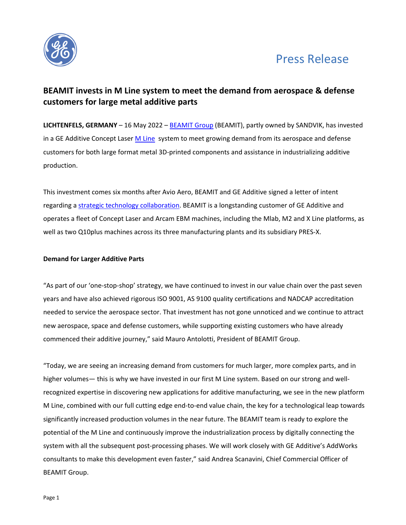

# Press Release

## **BEAMIT invests in M Line system to meet the demand from aerospace & defense customers for large metal additive parts**

**LICHTENFELS, GERMANY** – 16 May 2022 – [BEAMIT Group](https://www.beam-it.eu/) (BEAMIT), partly owned by SANDVIK, has invested in a GE Additive Concept Lase[r M Line](https://www.ge.com/additive-manufacturing/machines/dmlm-machines/m-line) system to meet growing demand from its aerospace and defense customers for both large format metal 3D-printed components and assistance in industrializing additive production.

This investment comes six months after Avio Aero, BEAMIT and GE Additive signed a letter of intent regarding a [strategic technology collaboration.](https://www.ge.com/additive/press-releases/avio-aero-beamit-group-and-ge-additive-sign-letter-intent-regarding-strategic) BEAMIT is a longstanding customer of GE Additive and operates a fleet of Concept Laser and Arcam EBM machines, including the Mlab, M2 and X Line platforms, as well as two Q10plus machines across its three manufacturing plants and its subsidiary PRES-X.

## **Demand for Larger Additive Parts**

"As part of our 'one-stop-shop' strategy, we have continued to invest in our value chain over the past seven years and have also achieved rigorous ISO 9001, AS 9100 quality certifications and NADCAP accreditation needed to service the aerospace sector. That investment has not gone unnoticed and we continue to attract new aerospace, space and defense customers, while supporting existing customers who have already commenced their additive journey," said Mauro Antolotti, President of BEAMIT Group.

"Today, we are seeing an increasing demand from customers for much larger, more complex parts, and in higher volumes— this is why we have invested in our first M Line system. Based on our strong and wellrecognized expertise in discovering new applications for additive manufacturing, we see in the new platform M Line, combined with our full cutting edge end-to-end value chain, the key for a technological leap towards significantly increased production volumes in the near future. The BEAMIT team is ready to explore the potential of the M Line and continuously improve the industrialization process by digitally connecting the system with all the subsequent post-processing phases. We will work closely with GE Additive's AddWorks consultants to make this development even faster," said Andrea Scanavini, Chief Commercial Officer of BEAMIT Group.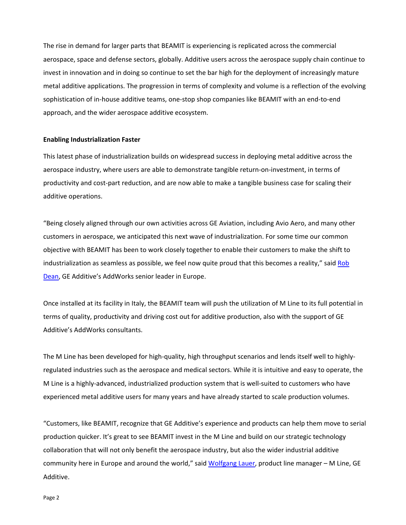The rise in demand for larger parts that BEAMIT is experiencing is replicated across the commercial aerospace, space and defense sectors, globally. Additive users across the aerospace supply chain continue to invest in innovation and in doing so continue to set the bar high for the deployment of increasingly mature metal additive applications. The progression in terms of complexity and volume is a reflection of the evolving sophistication of in-house additive teams, one-stop shop companies like BEAMIT with an end-to-end approach, and the wider aerospace additive ecosystem.

### **Enabling Industrialization Faster**

This latest phase of industrialization builds on widespread success in deploying metal additive across the aerospace industry, where users are able to demonstrate tangible return-on-investment, in terms of productivity and cost-part reduction, and are now able to make a tangible business case for scaling their additive operations.

"Being closely aligned through our own activities across GE Aviation, including Avio Aero, and many other customers in aerospace, we anticipated this next wave of industrialization. For some time our common objective with BEAMIT has been to work closely together to enable their customers to make the shift to industrialization as seamless as possible, we feel now quite proud that this becomes a reality," said Rob [Dean,](https://www.linkedin.com/in/robert-dean-34406111/) GE Additive's AddWorks senior leader in Europe.

Once installed at its facility in Italy, the BEAMIT team will push the utilization of M Line to its full potential in terms of quality, productivity and driving cost out for additive production, also with the support of GE Additive's AddWorks consultants.

The M Line has been developed for high-quality, high throughput scenarios and lends itself well to highlyregulated industries such as the aerospace and medical sectors. While it is intuitive and easy to operate, the M Line is a highly-advanced, industrialized production system that is well-suited to customers who have experienced metal additive users for many years and have already started to scale production volumes.

"Customers, like BEAMIT, recognize that GE Additive's experience and products can help them move to serial production quicker. It's great to see BEAMIT invest in the M Line and build on our strategic technology collaboration that will not only benefit the aerospace industry, but also the wider industrial additive community here in Europe and around the world," said [Wolfgang Lauer,](https://www.linkedin.com/in/wolfgang-dr-lauer-6855271/) product line manager – M Line, GE Additive.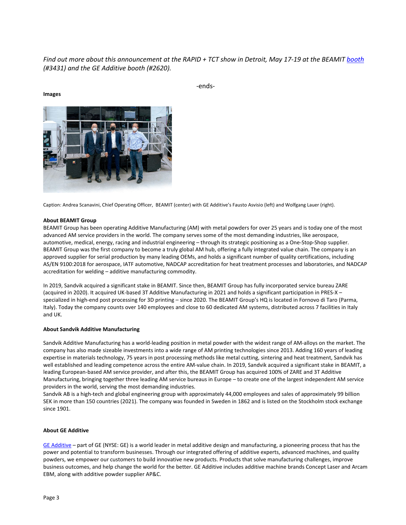## *Find out more about this announcement at the RAPID + TCT show in Detroit, May 17-19 at the BEAMIT [booth](https://www.beam-it.eu/sandvik-and-beamit-return-to-rapid-tct/) (#3431) and the GE Additive booth (#2620).*



-ends-

Caption: Andrea Scanavini, Chief Operating Officer, BEAMIT (center) with GE Additive's Fausto Asvisio (left) and Wolfgang Lauer (right).

#### **About BEAMIT Group**

**Images**

BEAMIT Group has been operating Additive Manufacturing (AM) with metal powders for over 25 years and is today one of the most advanced AM service providers in the world. The company serves some of the most demanding industries, like aerospace, automotive, medical, energy, racing and industrial engineering – through its strategic positioning as a One-Stop-Shop supplier. BEAMIT Group was the first company to become a truly global AM hub, offering a fully integrated value chain. The company is an approved supplier for serial production by many leading OEMs, and holds a significant number of quality certifications, including AS/EN 9100:2018 for aerospace, IATF automotive, NADCAP accreditation for heat treatment processes and laboratories, and NADCAP accreditation for welding – additive manufacturing commodity.

In 2019, Sandvik acquired a significant stake in BEAMIT. Since then, BEAMIT Group has fully incorporated service bureau ZARE (acquired in 2020). It acquired UK-based 3T Additive Manufacturing in 2021 and holds a significant participation in PRES-X – specialized in high-end post processing for 3D printing – since 2020. The BEAMIT Group's HQ is located in Fornovo di Taro (Parma, Italy). Today the company counts over 140 employees and close to 60 dedicated AM systems, distributed across 7 facilities in Italy and UK.

#### **About Sandvik Additive Manufacturing**

Sandvik Additive Manufacturing has a world-leading position in metal powder with the widest range of AM-alloys on the market. The company has also made sizeable investments into a wide range of AM printing technologies since 2013. Adding 160 years of leading expertise in materials technology, 75 years in post processing methods like metal cutting, sintering and heat treatment, Sandvik has well established and leading competence across the entire AM-value chain. In 2019, Sandvik acquired a significant stake in BEAMIT, a leading European-based AM service provider, and after this, the BEAMIT Group has acquired 100% of ZARE and 3T Additive Manufacturing, bringing together three leading AM service bureaus in Europe – to create one of the largest independent AM service providers in the world, serving the most demanding industries.

Sandvik AB is a high-tech and global engineering group with approximately 44,000 employees and sales of approximately 99 billion SEK in more than 150 countries (2021). The company was founded in Sweden in 1862 and is listed on the Stockholm stock exchange since 1901.

#### **About GE Additive**

[GE Additive –](http://www.ge.com/additive) part of GE (NYSE: GE) is a world leader in metal additive design and manufacturing, a pioneering process that has the power and potential to transform businesses. Through our integrated offering of additive experts, advanced machines, and quality powders, we empower our customers to build innovative new products. Products that solve manufacturing challenges, improve business outcomes, and help change the world for the better. GE Additive includes additive machine brands Concept Laser and Arcam EBM, along with additive powder supplier AP&C.